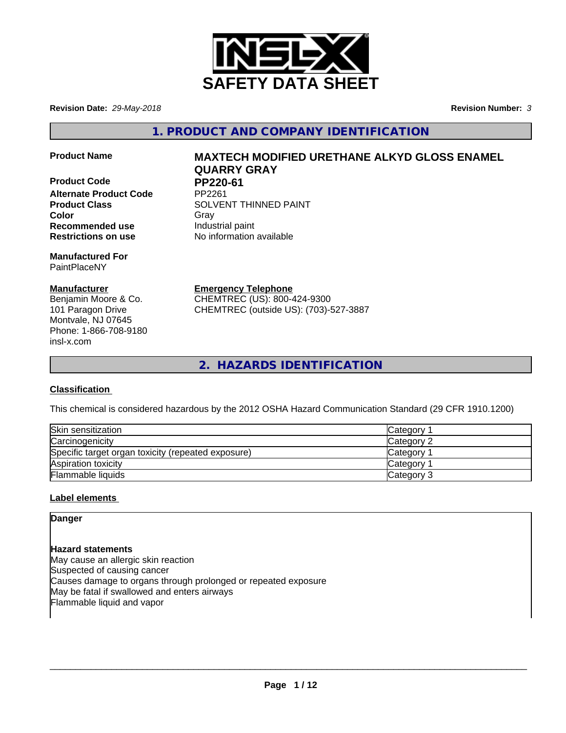

**Revision Date:** *29-May-2018* **Revision Number:** *3*

**1. PRODUCT AND COMPANY IDENTIFICATION**

- 
- **Product Code PP220-61**<br>Alternate Product Code PP2261 **Alternate Product Code Recommended use Industrial paint Restrictions on use** No information available

**Manufactured For** PaintPlaceNY

## **Manufacturer**

Benjamin Moore & Co. 101 Paragon Drive Montvale, NJ 07645 Phone: 1-866-708-9180 insl-x.com

# **Product Name MAXTECH MODIFIED URETHANE ALKYD GLOSS ENAMEL QUARRY GRAY**

**Product Class SOLVENT THINNED PAINT Color** Gray Gray

**Emergency Telephone**

CHEMTREC (US): 800-424-9300 CHEMTREC (outside US): (703)-527-3887

**2. HAZARDS IDENTIFICATION**

## **Classification**

This chemical is considered hazardous by the 2012 OSHA Hazard Communication Standard (29 CFR 1910.1200)

| Skin sensitization                                 | Category        |
|----------------------------------------------------|-----------------|
| Carcinogenicity                                    | Category 2      |
| Specific target organ toxicity (repeated exposure) | <b>Category</b> |
| Aspiration toxicity                                | <b>Category</b> |
| Flammable liquids                                  | Category 3      |

## **Label elements**

**Danger**

**Hazard statements** May cause an allergic skin reaction Suspected of causing cancer Causes damage to organs through prolonged or repeated exposure May be fatal if swallowed and enters airways Flammable liquid and vapor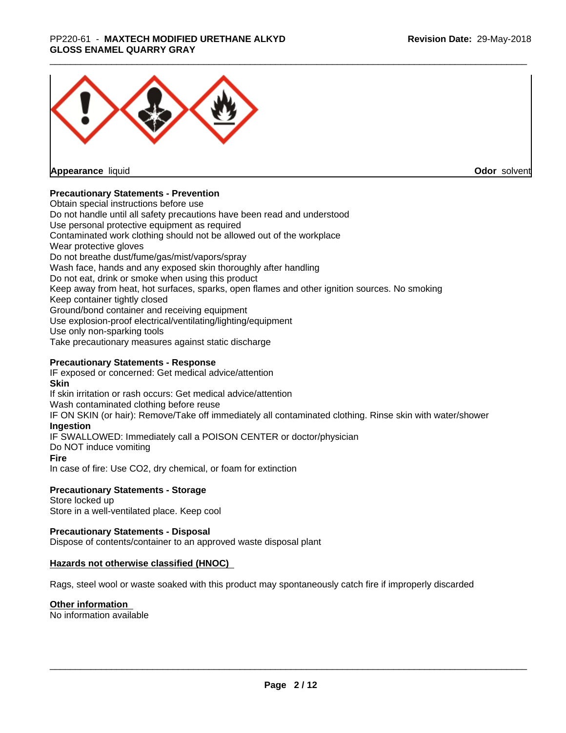#### \_\_\_\_\_\_\_\_\_\_\_\_\_\_\_\_\_\_\_\_\_\_\_\_\_\_\_\_\_\_\_\_\_\_\_\_\_\_\_\_\_\_\_\_\_\_\_\_\_\_\_\_\_\_\_\_\_\_\_\_\_\_\_\_\_\_\_\_\_\_\_\_\_\_\_\_\_\_\_\_\_\_\_\_\_\_\_\_\_\_\_\_\_ PP220-61 - **MAXTECH MODIFIED URETHANE ALKYD GLOSS ENAMEL QUARRY GRAY**



**Appearance** liquid

**Odor** solvent

### **Precautionary Statements - Prevention**

Obtain special instructions before use Do not handle until all safety precautions have been read and understood Use personal protective equipment as required Contaminated work clothing should not be allowed out of the workplace Wear protective gloves Do not breathe dust/fume/gas/mist/vapors/spray Wash face, hands and any exposed skin thoroughly after handling Do not eat, drink or smoke when using this product Keep away from heat, hot surfaces, sparks, open flames and other ignition sources. No smoking Keep container tightly closed Ground/bond container and receiving equipment Use explosion-proof electrical/ventilating/lighting/equipment Use only non-sparking tools Take precautionary measures against static discharge

### **Precautionary Statements - Response**

IF exposed or concerned: Get medical advice/attention **Skin** If skin irritation or rash occurs: Get medical advice/attention Wash contaminated clothing before reuse IF ON SKIN (or hair): Remove/Take off immediately all contaminated clothing. Rinse skin with water/shower **Ingestion** IF SWALLOWED: Immediately call a POISON CENTER or doctor/physician Do NOT induce vomiting **Fire** In case of fire: Use CO2, dry chemical, or foam for extinction

### **Precautionary Statements - Storage**

Store locked up Store in a well-ventilated place. Keep cool

#### **Precautionary Statements - Disposal**

Dispose of contents/container to an approved waste disposal plant

#### **Hazards not otherwise classified (HNOC)**

Rags, steel wool or waste soaked with this product may spontaneously catch fire if improperly discarded

#### **Other information**

No information available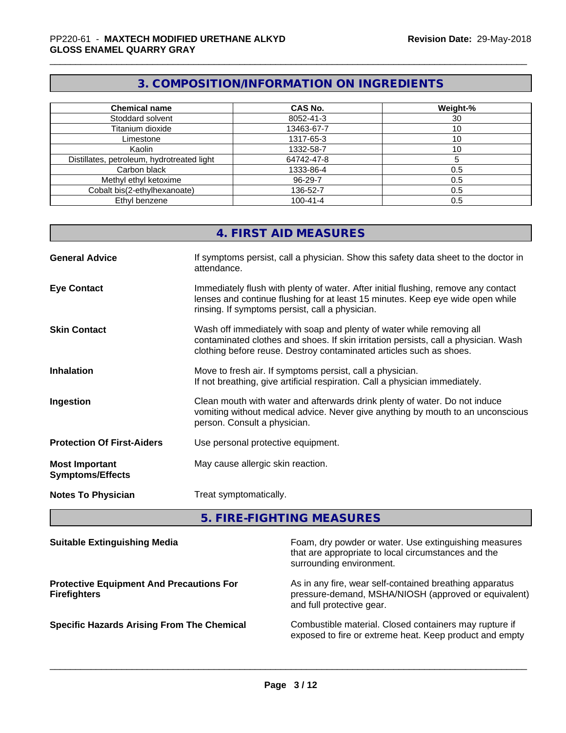# **3. COMPOSITION/INFORMATION ON INGREDIENTS**

| <b>Chemical name</b>                       | <b>CAS No.</b> | Weight-% |
|--------------------------------------------|----------------|----------|
| Stoddard solvent                           | 8052-41-3      | 30       |
| Titanium dioxide                           | 13463-67-7     | 10       |
| Limestone                                  | 1317-65-3      | 10       |
| Kaolin                                     | 1332-58-7      | 10       |
| Distillates, petroleum, hydrotreated light | 64742-47-8     |          |
| Carbon black                               | 1333-86-4      | 0.5      |
| Methyl ethyl ketoxime                      | 96-29-7        | 0.5      |
| Cobalt bis(2-ethylhexanoate)               | 136-52-7       | 0.5      |
| Ethyl benzene                              | $100 - 41 - 4$ | 0.5      |

|                                                  | 4. FIRST AID MEASURES                                                                                                                                                                                                               |
|--------------------------------------------------|-------------------------------------------------------------------------------------------------------------------------------------------------------------------------------------------------------------------------------------|
| <b>General Advice</b>                            | If symptoms persist, call a physician. Show this safety data sheet to the doctor in<br>attendance.                                                                                                                                  |
| <b>Eye Contact</b>                               | Immediately flush with plenty of water. After initial flushing, remove any contact<br>lenses and continue flushing for at least 15 minutes. Keep eye wide open while<br>rinsing. If symptoms persist, call a physician.             |
| <b>Skin Contact</b>                              | Wash off immediately with soap and plenty of water while removing all<br>contaminated clothes and shoes. If skin irritation persists, call a physician. Wash<br>clothing before reuse. Destroy contaminated articles such as shoes. |
| <b>Inhalation</b>                                | Move to fresh air. If symptoms persist, call a physician.<br>If not breathing, give artificial respiration. Call a physician immediately.                                                                                           |
| Ingestion                                        | Clean mouth with water and afterwards drink plenty of water. Do not induce<br>vomiting without medical advice. Never give anything by mouth to an unconscious<br>person. Consult a physician.                                       |
| <b>Protection Of First-Aiders</b>                | Use personal protective equipment.                                                                                                                                                                                                  |
| <b>Most Important</b><br><b>Symptoms/Effects</b> | May cause allergic skin reaction.                                                                                                                                                                                                   |
| <b>Notes To Physician</b>                        | Treat symptomatically.                                                                                                                                                                                                              |

# **5. FIRE-FIGHTING MEASURES**

| <b>Suitable Extinguishing Media</b>                                    | Foam, dry powder or water. Use extinguishing measures<br>that are appropriate to local circumstances and the<br>surrounding environment.     |
|------------------------------------------------------------------------|----------------------------------------------------------------------------------------------------------------------------------------------|
| <b>Protective Equipment And Precautions For</b><br><b>Firefighters</b> | As in any fire, wear self-contained breathing apparatus<br>pressure-demand, MSHA/NIOSH (approved or equivalent)<br>and full protective gear. |
| <b>Specific Hazards Arising From The Chemical</b>                      | Combustible material. Closed containers may rupture if<br>exposed to fire or extreme heat. Keep product and empty                            |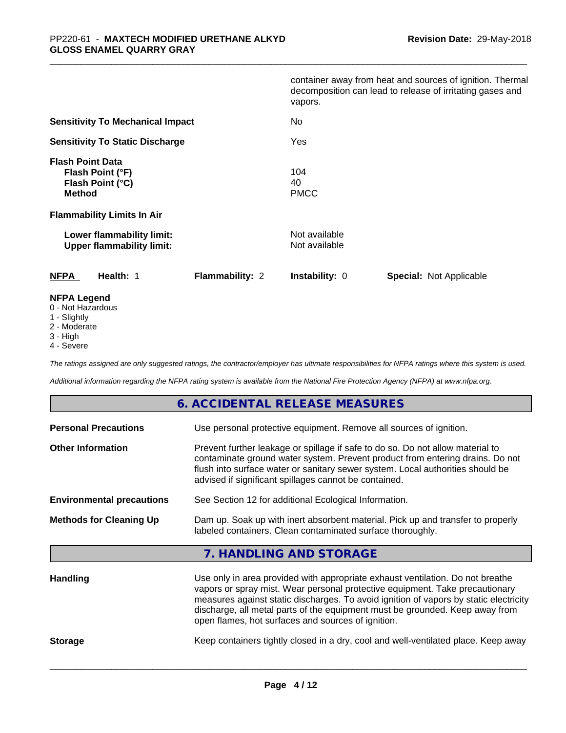|                                                                                  | container away from heat and sources of ignition. Thermal<br>decomposition can lead to release of irritating gases and<br>vapors. |
|----------------------------------------------------------------------------------|-----------------------------------------------------------------------------------------------------------------------------------|
| <b>Sensitivity To Mechanical Impact</b>                                          | No                                                                                                                                |
| <b>Sensitivity To Static Discharge</b>                                           | Yes                                                                                                                               |
| <b>Flash Point Data</b><br>Flash Point (°F)<br>Flash Point (°C)<br><b>Method</b> | 104<br>40<br><b>PMCC</b>                                                                                                          |
| <b>Flammability Limits In Air</b>                                                |                                                                                                                                   |
| Lower flammability limit:<br><b>Upper flammability limit:</b>                    | Not available<br>Not available                                                                                                    |
| <b>NFPA</b><br>Health: 1<br><b>Flammability: 2</b>                               | <b>Instability: 0</b><br><b>Special: Not Applicable</b>                                                                           |
| <b>NFPA Legend</b><br>0 - Not Hazardous                                          |                                                                                                                                   |

- 1 Slightly
- 2 Moderate
- 3 High
- 4 Severe

*The ratings assigned are only suggested ratings, the contractor/employer has ultimate responsibilities for NFPA ratings where this system is used.*

*Additional information regarding the NFPA rating system is available from the National Fire Protection Agency (NFPA) at www.nfpa.org.*

### **6. ACCIDENTAL RELEASE MEASURES**

| <b>Personal Precautions</b>      | Use personal protective equipment. Remove all sources of ignition.                                                                                                                                                                                                                                                                      |
|----------------------------------|-----------------------------------------------------------------------------------------------------------------------------------------------------------------------------------------------------------------------------------------------------------------------------------------------------------------------------------------|
| <b>Other Information</b>         | Prevent further leakage or spillage if safe to do so. Do not allow material to<br>contaminate ground water system. Prevent product from entering drains. Do not<br>flush into surface water or sanitary sewer system. Local authorities should be<br>advised if significant spillages cannot be contained.                              |
| <b>Environmental precautions</b> | See Section 12 for additional Ecological Information.                                                                                                                                                                                                                                                                                   |
| <b>Methods for Cleaning Up</b>   | Dam up. Soak up with inert absorbent material. Pick up and transfer to properly<br>labeled containers. Clean contaminated surface thoroughly.                                                                                                                                                                                           |
|                                  | 7. HANDLING AND STORAGE                                                                                                                                                                                                                                                                                                                 |
| <b>Handling</b>                  | Use only in area provided with appropriate exhaust ventilation. Do not breathe<br>vapors or spray mist. Wear personal protective equipment. Take precautionary<br>measures against static discharges. To avoid ignition of vapors by static electricity<br>discharge, all metal parts of the equipment must be grounded. Keep away from |

**Storage** Keep containers tightly closed in a dry, cool and well-ventilated place. Keep away

 $\overline{\phantom{a}}$  ,  $\overline{\phantom{a}}$  ,  $\overline{\phantom{a}}$  ,  $\overline{\phantom{a}}$  ,  $\overline{\phantom{a}}$  ,  $\overline{\phantom{a}}$  ,  $\overline{\phantom{a}}$  ,  $\overline{\phantom{a}}$  ,  $\overline{\phantom{a}}$  ,  $\overline{\phantom{a}}$  ,  $\overline{\phantom{a}}$  ,  $\overline{\phantom{a}}$  ,  $\overline{\phantom{a}}$  ,  $\overline{\phantom{a}}$  ,  $\overline{\phantom{a}}$  ,  $\overline{\phantom{a}}$ 

open flames, hot surfaces and sources of ignition.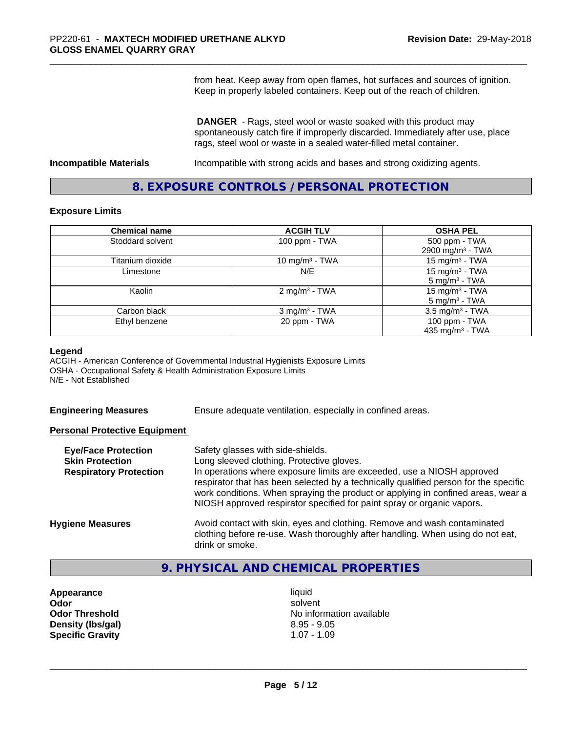from heat. Keep away from open flames, hot surfaces and sources of ignition. Keep in properly labeled containers. Keep out of the reach of children.

 **DANGER** - Rags, steel wool or waste soaked with this product may spontaneously catch fire if improperly discarded. Immediately after use, place rags, steel wool or waste in a sealed water-filled metal container.

**Incompatible Materials Incompatible with strong acids and bases and strong oxidizing agents.** 

## **8. EXPOSURE CONTROLS / PERSONAL PROTECTION**

#### **Exposure Limits**

| <b>Chemical name</b> | <b>ACGIH TLV</b>            | <b>OSHA PEL</b>                                        |
|----------------------|-----------------------------|--------------------------------------------------------|
| Stoddard solvent     | 100 ppm - TWA               | 500 ppm - TWA<br>2900 mg/m <sup>3</sup> - TWA          |
| Titanium dioxide     | 10 mg/m $3$ - TWA           | 15 mg/m $3$ - TWA                                      |
| Limestone            | N/E                         | 15 mg/m <sup>3</sup> - TWA<br>$5 \text{ mg/m}^3$ - TWA |
| Kaolin               | 2 mg/m <sup>3</sup> - TWA   | 15 mg/m <sup>3</sup> - TWA<br>$5 \text{ mg/m}^3$ - TWA |
| Carbon black         | $3$ mg/m <sup>3</sup> - TWA | $3.5$ mg/m <sup>3</sup> - TWA                          |
| Ethyl benzene        | 20 ppm - TWA                | 100 ppm - TWA<br>435 mg/m $3$ - TWA                    |

#### **Legend**

ACGIH - American Conference of Governmental Industrial Hygienists Exposure Limits OSHA - Occupational Safety & Health Administration Exposure Limits N/E - Not Established

**Engineering Measures** Ensure adequate ventilation, especially in confined areas.

#### **Personal Protective Equipment**

| <b>Eye/Face Protection</b><br><b>Skin Protection</b><br><b>Respiratory Protection</b> | Safety glasses with side-shields.<br>Long sleeved clothing. Protective gloves.<br>In operations where exposure limits are exceeded, use a NIOSH approved<br>respirator that has been selected by a technically qualified person for the specific<br>work conditions. When spraying the product or applying in confined areas, wear a<br>NIOSH approved respirator specified for paint spray or organic vapors. |
|---------------------------------------------------------------------------------------|----------------------------------------------------------------------------------------------------------------------------------------------------------------------------------------------------------------------------------------------------------------------------------------------------------------------------------------------------------------------------------------------------------------|
| <b>Hygiene Measures</b>                                                               | Avoid contact with skin, eyes and clothing. Remove and wash contaminated<br>clothing before re-use. Wash thoroughly after handling. When using do not eat,<br>drink or smoke.                                                                                                                                                                                                                                  |

## **9. PHYSICAL AND CHEMICAL PROPERTIES**

**Appearance** liquid **Density (lbs/gal)** 8.95 - 9.05 **Specific Gravity** 1.07 - 1.09

**Odor** solvent **Odor Threshold** No information available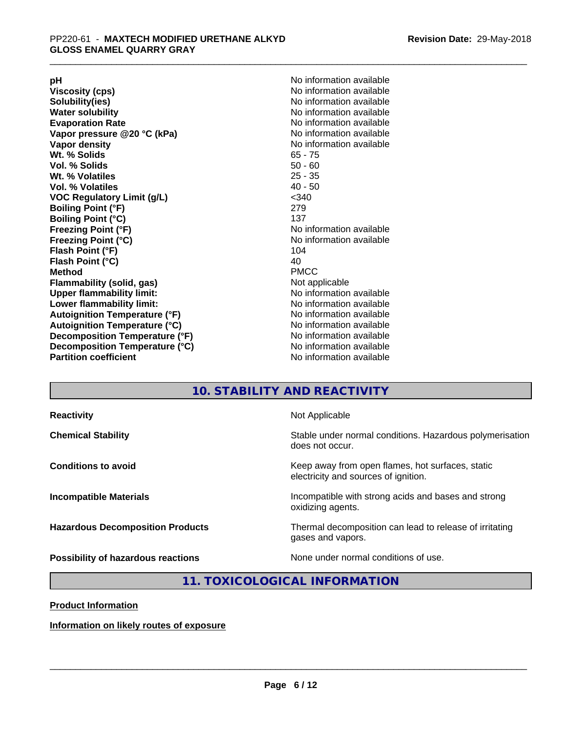**Viscosity (cps)** <br> **Viscosity (cps)** No information available<br>
No information available<br>
No information available **Water solubility**<br> **Evaporation Rate**<br> **Evaporation Rate**<br> **Evaporation Rate Vapor** pressure @20 °C (kPa) **Vapor density No information available Wt. % Solids** 65 - 75 **Vol. % Solids Wt. % Volatiles** 25 - 35 **Vol. % Volatiles** 40 - 50 **VOC Regulatory Limit (g/L)** <340 **Boiling Point (°F)** 279 **Boiling Point (°C)**<br>Freezing Point (°F) **Freezing Point (°C)**<br> **Flash Point (°F)**<br> **Flash Point (°F)**<br> **Point (°F)**<br> **Point (°F)**<br> **Point (°F)**<br> **Point (°F) Flash Point (°F) Flash Point (°C)** 40 **Method** PMCC **Flammability (solid, gas)** Not applicable **Upper flammability limit:** No information available **Lower flammability limit:** No information available **Autoignition Temperature (°F)** No information available **Autoignition Temperature (°C)** No information available **Decomposition Temperature (°F)**<br> **Decomposition Temperature (°C)** No information available<br>
No information available **Decomposition Temperature (°C)**<br>Partition coefficient

**pH**<br>
Viscosity (cps) The Contract of the Contract of No information available<br>
No information available **Solubility(ies)** No information available No information available<br>No information available **No information available No information available** 

## **10. STABILITY AND REACTIVITY**

| <b>Reactivity</b><br>Not Applicable                                                                                     |
|-------------------------------------------------------------------------------------------------------------------------|
| Stable under normal conditions. Hazardous polymerisation<br><b>Chemical Stability</b><br>does not occur.                |
| Keep away from open flames, hot surfaces, static<br><b>Conditions to avoid</b><br>electricity and sources of ignition.  |
| Incompatible with strong acids and bases and strong<br><b>Incompatible Materials</b><br>oxidizing agents.               |
| Thermal decomposition can lead to release of irritating<br><b>Hazardous Decomposition Products</b><br>gases and vapors. |
| None under normal conditions of use.<br>Possibility of hazardous reactions                                              |

## **11. TOXICOLOGICAL INFORMATION**

**Product Information**

**Information on likely routes of exposure**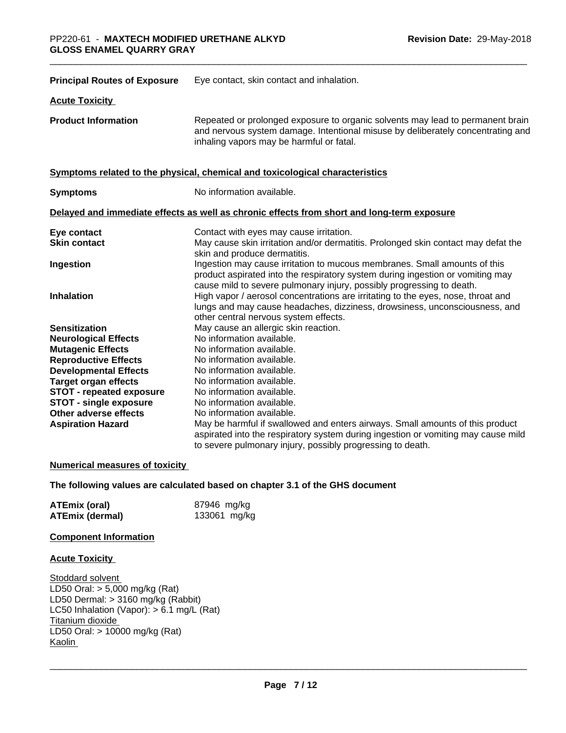| <b>Principal Routes of Exposure</b> | Eye contact, skin contact and inhalation.                                                                                                                                                                                            |
|-------------------------------------|--------------------------------------------------------------------------------------------------------------------------------------------------------------------------------------------------------------------------------------|
| <b>Acute Toxicity</b>               |                                                                                                                                                                                                                                      |
| <b>Product Information</b>          | Repeated or prolonged exposure to organic solvents may lead to permanent brain<br>and nervous system damage. Intentional misuse by deliberately concentrating and<br>inhaling vapors may be harmful or fatal.                        |
|                                     | Symptoms related to the physical, chemical and toxicological characteristics                                                                                                                                                         |
| <b>Symptoms</b>                     | No information available.                                                                                                                                                                                                            |
|                                     | Delayed and immediate effects as well as chronic effects from short and long-term exposure                                                                                                                                           |
| Eye contact                         | Contact with eyes may cause irritation.                                                                                                                                                                                              |
| <b>Skin contact</b>                 | May cause skin irritation and/or dermatitis. Prolonged skin contact may defat the<br>skin and produce dermatitis.                                                                                                                    |
| Ingestion                           | Ingestion may cause irritation to mucous membranes. Small amounts of this<br>product aspirated into the respiratory system during ingestion or vomiting may<br>cause mild to severe pulmonary injury, possibly progressing to death. |
| <b>Inhalation</b>                   | High vapor / aerosol concentrations are irritating to the eyes, nose, throat and<br>lungs and may cause headaches, dizziness, drowsiness, unconsciousness, and<br>other central nervous system effects.                              |
| <b>Sensitization</b>                | May cause an allergic skin reaction.                                                                                                                                                                                                 |
| <b>Neurological Effects</b>         | No information available.                                                                                                                                                                                                            |
| <b>Mutagenic Effects</b>            | No information available.                                                                                                                                                                                                            |
| <b>Reproductive Effects</b>         | No information available.                                                                                                                                                                                                            |
| <b>Developmental Effects</b>        | No information available.                                                                                                                                                                                                            |
| <b>Target organ effects</b>         | No information available.                                                                                                                                                                                                            |
| <b>STOT - repeated exposure</b>     | No information available.                                                                                                                                                                                                            |
| <b>STOT - single exposure</b>       | No information available.                                                                                                                                                                                                            |
| Other adverse effects               | No information available.                                                                                                                                                                                                            |
| <b>Aspiration Hazard</b>            | May be harmful if swallowed and enters airways. Small amounts of this product                                                                                                                                                        |
|                                     | aspirated into the respiratory system during ingestion or vomiting may cause mild                                                                                                                                                    |
|                                     | to severe pulmonary injury, possibly progressing to death.                                                                                                                                                                           |

#### **Numerical measures of toxicity**

#### **The following values are calculated based on chapter 3.1 of the GHS document**

| <b>ATEmix (oral)</b>   | 87946 mg/kg  |
|------------------------|--------------|
| <b>ATEmix (dermal)</b> | 133061 mg/kg |

#### **Component Information**

#### **Acute Toxicity**

Stoddard solvent LD50 Oral: > 5,000 mg/kg (Rat) LD50 Dermal: > 3160 mg/kg (Rabbit) LC50 Inhalation (Vapor): > 6.1 mg/L (Rat) Titanium dioxide LD50 Oral: > 10000 mg/kg (Rat) Kaolin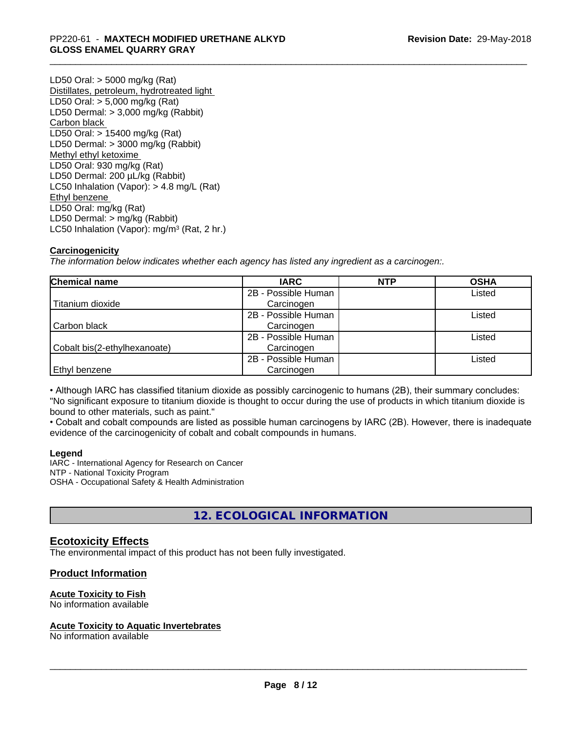LD50 Oral: > 5000 mg/kg (Rat) Distillates, petroleum, hydrotreated light LD50 Oral: > 5,000 mg/kg (Rat) LD50 Dermal: > 3,000 mg/kg (Rabbit) Carbon black LD50 Oral: > 15400 mg/kg (Rat) LD50 Dermal: > 3000 mg/kg (Rabbit) Methyl ethyl ketoxime LD50 Oral: 930 mg/kg (Rat) LD50 Dermal: 200 µL/kg (Rabbit) LC50 Inhalation (Vapor): > 4.8 mg/L (Rat) Ethyl benzene LD50 Oral: mg/kg (Rat) LD50 Dermal: > mg/kg (Rabbit) LC50 Inhalation (Vapor): mg/m<sup>3</sup> (Rat, 2 hr.)

#### **Carcinogenicity**

*The information below indicateswhether each agency has listed any ingredient as a carcinogen:.*

| <b>Chemical name</b>         | <b>IARC</b>         | <b>NTP</b> | <b>OSHA</b> |
|------------------------------|---------------------|------------|-------------|
|                              | 2B - Possible Human |            | Listed      |
| Titanium dioxide             | Carcinogen          |            |             |
|                              | 2B - Possible Human |            | Listed      |
| Carbon black                 | Carcinogen          |            |             |
|                              | 2B - Possible Human |            | Listed      |
| Cobalt bis(2-ethylhexanoate) | Carcinogen          |            |             |
|                              | 2B - Possible Human |            | Listed      |
| Ethyl benzene                | Carcinogen          |            |             |

• Although IARC has classified titanium dioxide as possibly carcinogenic to humans (2B), their summary concludes: "No significant exposure to titanium dioxide is thought to occur during the use of products in which titanium dioxide is bound to other materials, such as paint."

• Cobalt and cobalt compounds are listed as possible human carcinogens by IARC (2B). However, there is inadequate evidence of the carcinogenicity of cobalt and cobalt compounds in humans.

#### **Legend**

IARC - International Agency for Research on Cancer NTP - National Toxicity Program OSHA - Occupational Safety & Health Administration

**12. ECOLOGICAL INFORMATION**

## **Ecotoxicity Effects**

The environmental impact of this product has not been fully investigated.

#### **Product Information**

#### **Acute Toxicity to Fish**

No information available

#### **Acute Toxicity to Aquatic Invertebrates**

No information available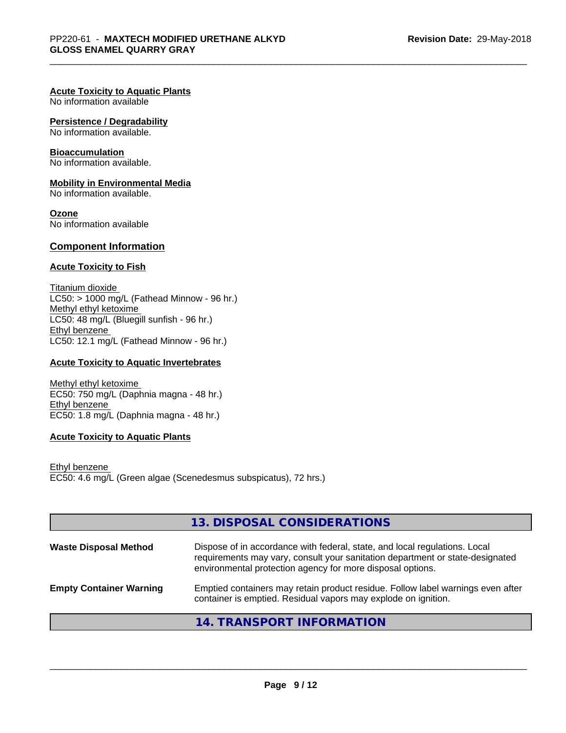### **Acute Toxicity to Aquatic Plants**

No information available

### **Persistence / Degradability**

No information available.

## **Bioaccumulation**

No information available.

#### **Mobility in Environmental Media**

No information available.

## **Ozone**

No information available

## **Component Information**

#### **Acute Toxicity to Fish**

Titanium dioxide  $LC50: > 1000$  mg/L (Fathead Minnow - 96 hr.) Methyl ethyl ketoxime LC50: 48 mg/L (Bluegill sunfish - 96 hr.) Ethyl benzene LC50: 12.1 mg/L (Fathead Minnow - 96 hr.)

### **Acute Toxicity to Aquatic Invertebrates**

Methyl ethyl ketoxime EC50: 750 mg/L (Daphnia magna - 48 hr.) Ethyl benzene EC50: 1.8 mg/L (Daphnia magna - 48 hr.)

#### **Acute Toxicity to Aquatic Plants**

Ethyl benzene EC50: 4.6 mg/L (Green algae (Scenedesmus subspicatus), 72 hrs.)

|                                | 13. DISPOSAL CONSIDERATIONS                                                                                                                                                                                               |
|--------------------------------|---------------------------------------------------------------------------------------------------------------------------------------------------------------------------------------------------------------------------|
| <b>Waste Disposal Method</b>   | Dispose of in accordance with federal, state, and local regulations. Local<br>requirements may vary, consult your sanitation department or state-designated<br>environmental protection agency for more disposal options. |
| <b>Empty Container Warning</b> | Emptied containers may retain product residue. Follow label warnings even after<br>container is emptied. Residual vapors may explode on ignition.                                                                         |
|                                | 14. TRANSPORT INFORMATION                                                                                                                                                                                                 |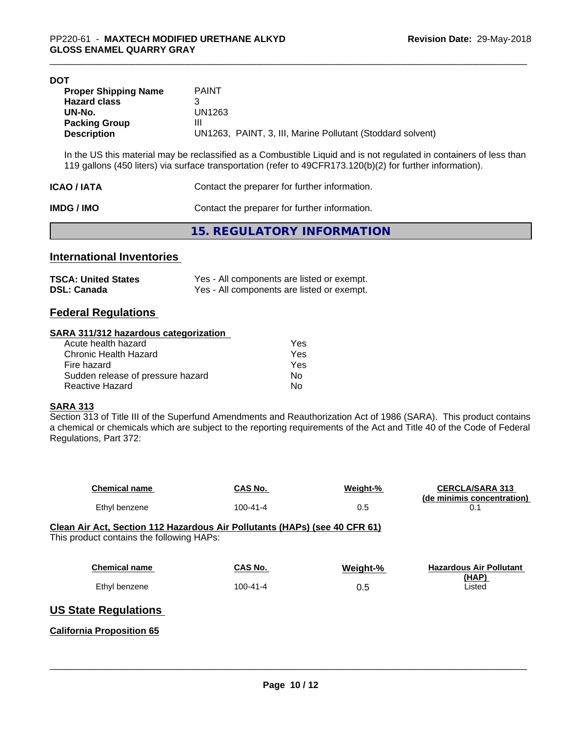| DOT                         |                                                                                                                |
|-----------------------------|----------------------------------------------------------------------------------------------------------------|
| <b>Proper Shipping Name</b> | <b>PAINT</b>                                                                                                   |
| <b>Hazard class</b>         | 3                                                                                                              |
| UN-No.                      | UN1263                                                                                                         |
| <b>Packing Group</b>        | Ш                                                                                                              |
| <b>Description</b>          | UN1263, PAINT, 3, III, Marine Pollutant (Stoddard solvent)                                                     |
|                             |                                                                                                                |
|                             | In the LIS this material may be reclassified as a Combustible Liquid and is not requisted in containers of les |

In the US this material may be reclassified as a Combustible Liquid and is not regulated in containers of less than 119 gallons (450 liters) via surface transportation (refer to 49CFR173.120(b)(2) for further information).

| ICAO / IATA | Contact the preparer for further information. |
|-------------|-----------------------------------------------|
|             |                                               |

**IMDG / IMO** Contact the preparer for further information.

**15. REGULATORY INFORMATION**

## **International Inventories**

| <b>TSCA: United States</b> | Yes - All components are listed or exempt. |
|----------------------------|--------------------------------------------|
| <b>DSL: Canada</b>         | Yes - All components are listed or exempt. |

## **Federal Regulations**

#### **SARA 311/312 hazardous categorization**

| Acute health hazard               | Yes |
|-----------------------------------|-----|
| Chronic Health Hazard             | Yes |
| Fire hazard                       | Yes |
| Sudden release of pressure hazard | Nο  |
| Reactive Hazard                   | N٥  |

### **SARA 313**

Section 313 of Title III of the Superfund Amendments and Reauthorization Act of 1986 (SARA). This product contains a chemical or chemicals which are subject to the reporting requirements of the Act and Title 40 of the Code of Federal Regulations, Part 372:

| <b>Chemical name</b>                                                                                                    | CAS No.        | Weight-% | <b>CERCLA/SARA 313</b><br>(de minimis concentration) |
|-------------------------------------------------------------------------------------------------------------------------|----------------|----------|------------------------------------------------------|
| Ethyl benzene                                                                                                           | $100 - 41 - 4$ | 0.5      | 0.1                                                  |
| Clean Air Act, Section 112 Hazardous Air Pollutants (HAPs) (see 40 CFR 61)<br>This product contains the following HAPs: |                |          |                                                      |
| <b>Chemical name</b>                                                                                                    | CAS No.        | Weight-% | <b>Hazardous Air Pollutant</b>                       |
| Ethyl benzene                                                                                                           | $100 - 41 - 4$ | 0.5      | (HAP)<br>Listed                                      |
| <b>US State Regulations</b>                                                                                             |                |          |                                                      |
| <b>California Proposition 65</b>                                                                                        |                |          |                                                      |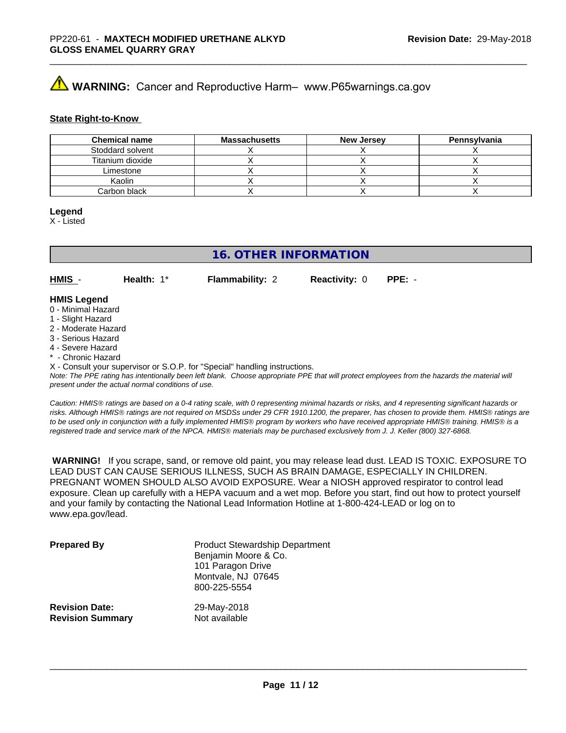# **AVIMARNING:** Cancer and Reproductive Harm– www.P65warnings.ca.gov

#### **State Right-to-Know**

| <b>Chemical name</b> | <b>Massachusetts</b> | <b>New Jersey</b> | Pennsylvania |
|----------------------|----------------------|-------------------|--------------|
| Stoddard solvent     |                      |                   |              |
| Titanium dioxide     |                      |                   |              |
| Limestone            |                      |                   |              |
| Kaolin               |                      |                   |              |
| Carbon black         |                      |                   |              |

#### **Legend**

X - Listed

## **16. OTHER INFORMATION**

**HMIS** - **Health:** 1\* **Flammability:** 2 **Reactivity:** 0 **PPE:** -

# **HMIS Legend**

- 0 Minimal Hazard
- 1 Slight Hazard
- 2 Moderate Hazard
- 3 Serious Hazard
- 4 Severe Hazard
- Chronic Hazard

X - Consult your supervisor or S.O.P. for "Special" handling instructions.

*Note: The PPE rating has intentionally been left blank. Choose appropriate PPE that will protect employees from the hazards the material will present under the actual normal conditions of use.*

*Caution: HMISÒ ratings are based on a 0-4 rating scale, with 0 representing minimal hazards or risks, and 4 representing significant hazards or risks. Although HMISÒ ratings are not required on MSDSs under 29 CFR 1910.1200, the preparer, has chosen to provide them. HMISÒ ratings are to be used only in conjunction with a fully implemented HMISÒ program by workers who have received appropriate HMISÒ training. HMISÒ is a registered trade and service mark of the NPCA. HMISÒ materials may be purchased exclusively from J. J. Keller (800) 327-6868.*

 **WARNING!** If you scrape, sand, or remove old paint, you may release lead dust. LEAD IS TOXIC. EXPOSURE TO LEAD DUST CAN CAUSE SERIOUS ILLNESS, SUCH AS BRAIN DAMAGE, ESPECIALLY IN CHILDREN. PREGNANT WOMEN SHOULD ALSO AVOID EXPOSURE.Wear a NIOSH approved respirator to control lead exposure. Clean up carefully with a HEPA vacuum and a wet mop. Before you start, find out how to protect yourself and your family by contacting the National Lead Information Hotline at 1-800-424-LEAD or log on to www.epa.gov/lead.

| <b>Prepared By</b>      | <b>Product Stewardship Department</b><br>Benjamin Moore & Co.<br>101 Paragon Drive<br>Montvale, NJ 07645<br>800-225-5554 |
|-------------------------|--------------------------------------------------------------------------------------------------------------------------|
| <b>Revision Date:</b>   | 29-May-2018                                                                                                              |
| <b>Revision Summary</b> | Not available                                                                                                            |